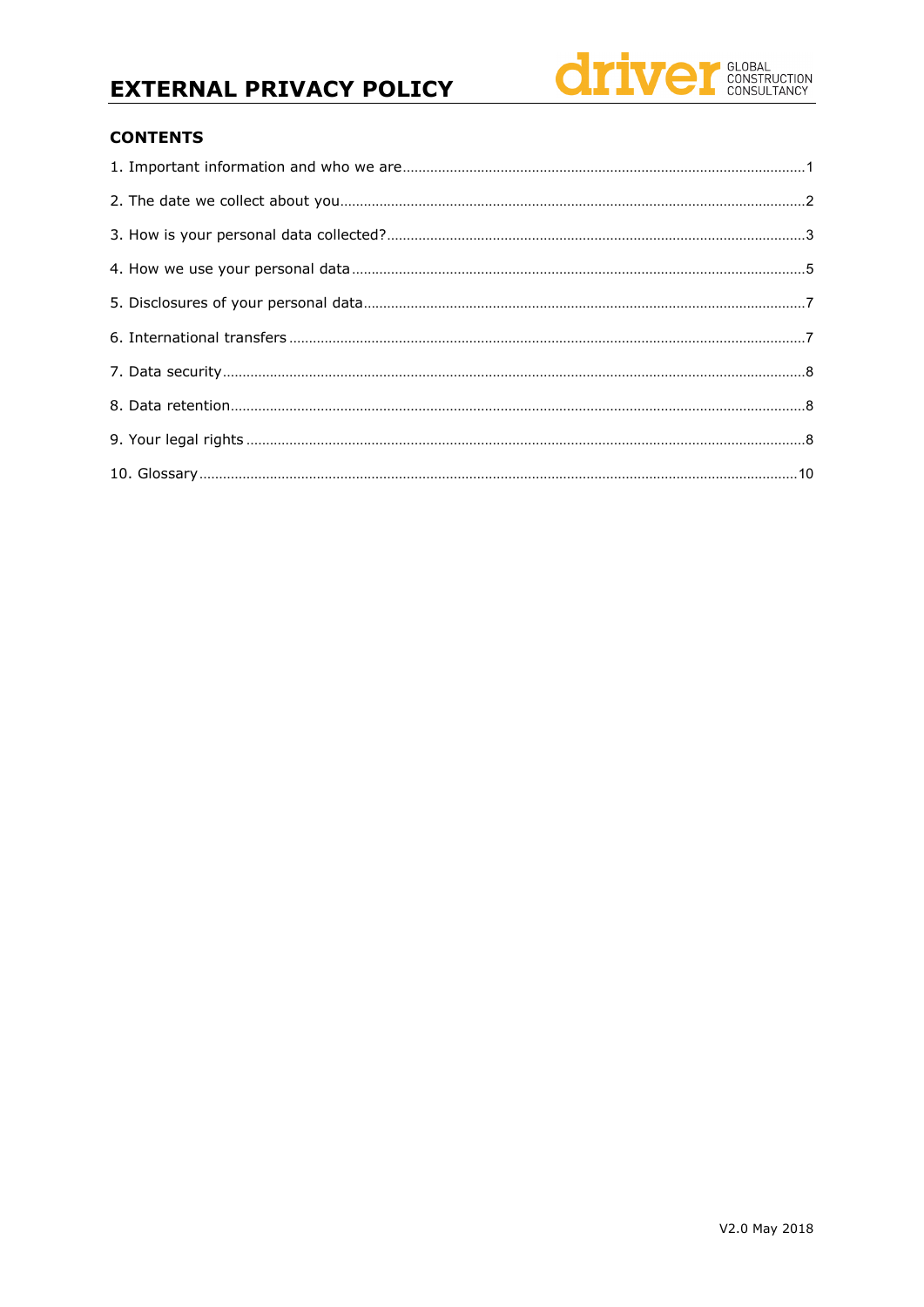

## **CONTENTS**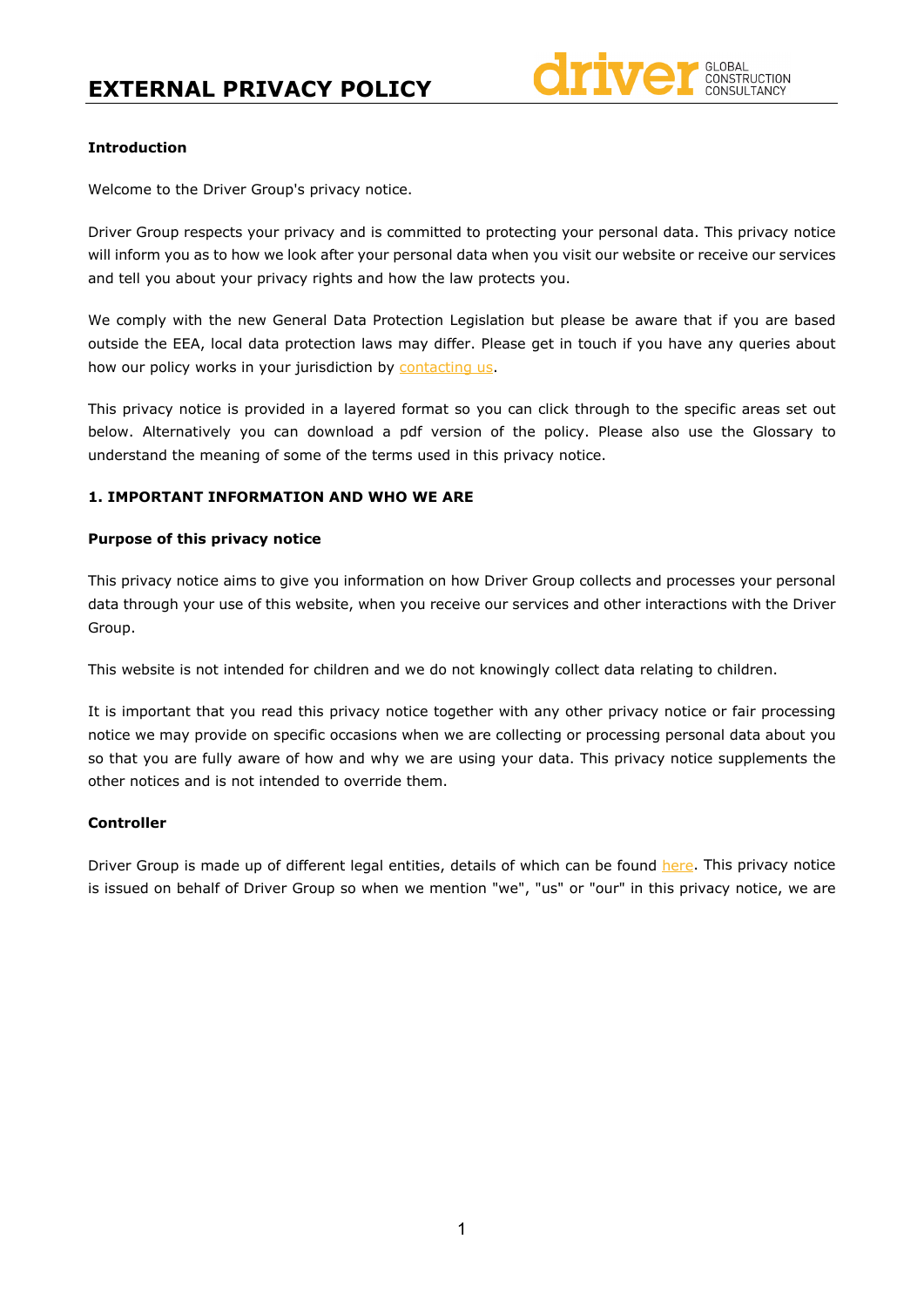## **Introduction**

Welcome to the Driver Group's privacy notice.

Driver Group respects your privacy and is committed to protecting your personal data. This privacy notice will inform you as to how we look after your personal data when you visit our website or receive our services and tell you about your privacy rights and how the law protects you.

We comply with the new General Data Protection Legislation but please be aware that if you are based outside the EEA, local data protection laws may differ. Please get in touch if you have any queries about how our policy works in your jurisdiction by [contacting](mailto:dpo@driver-group.com) us.

This privacy notice is provided in a layered format so you can click through to the specific areas set out below. Alternatively you can download a pdf version of the policy. Please also use the Glossary to understand the meaning of some of the terms used in this privacy notice.

## <span id="page-1-0"></span>**1. IMPORTANT INFORMATION AND WHO WE ARE**

#### **Purpose of this privacy notice**

This privacy notice aims to give you information on how Driver Group collects and processes your personal data through your use of this website, when you receive our services and other interactions with the Driver Group.

This website is not intended for children and we do not knowingly collect data relating to children.

It is important that you read this privacy notice together with any other privacy notice or fair processing notice we may provide on specific occasions when we are collecting or processing personal data about you so that you are fully aware of how and why we are using your data. This privacy notice supplements the other notices and is not intended to override them.

#### **Controller**

Driver Group is made up of different legal entities, details of which can be found [here.](https://www.driver-group.com/global/contact-us/) This privacy notice is issued on behalf of Driver Group so when we mention "we", "us" or "our" in this privacy notice, we are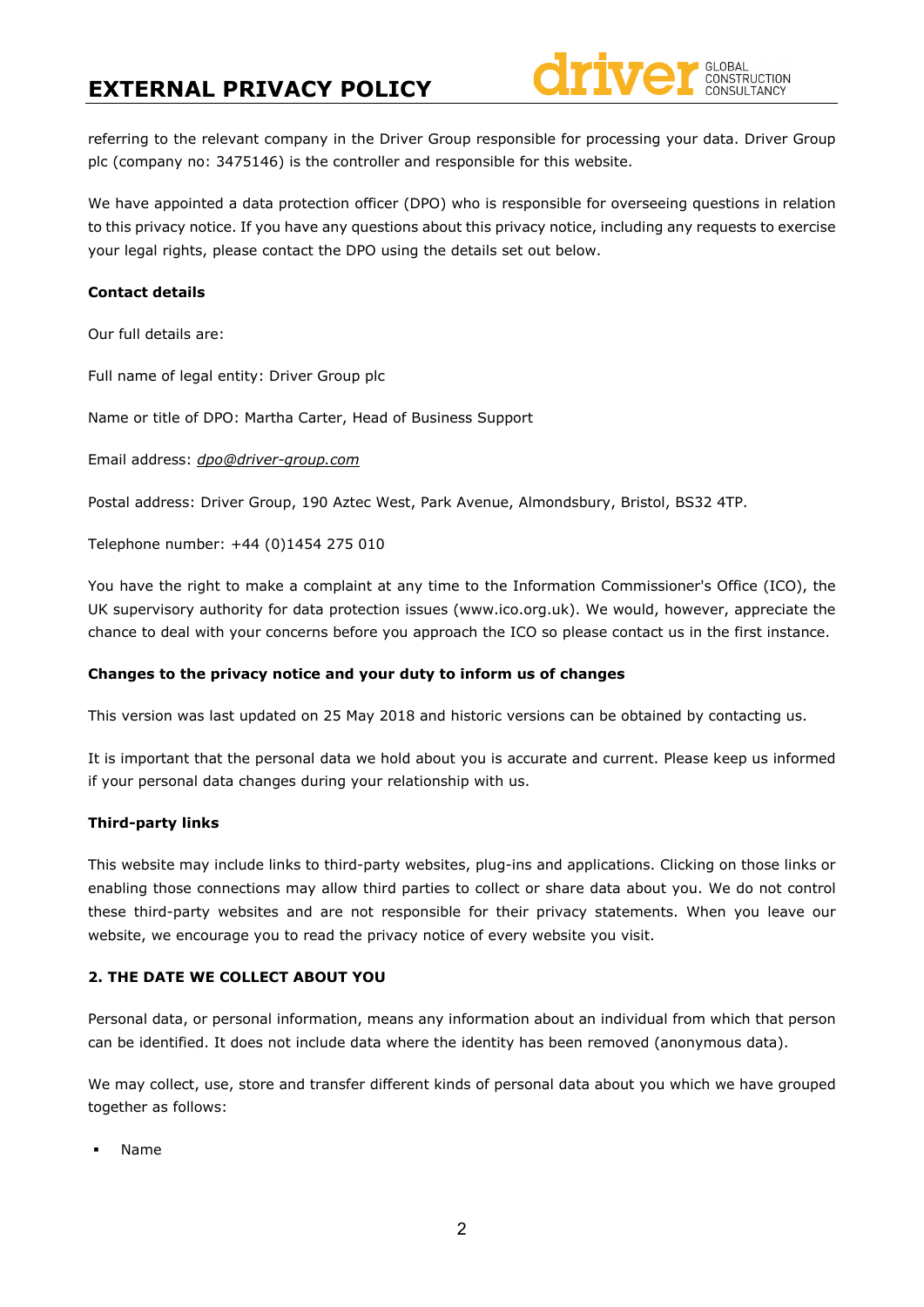

referring to the relevant company in the Driver Group responsible for processing your data. Driver Group plc (company no: 3475146) is the controller and responsible for this website.

We have appointed a data protection officer (DPO) who is responsible for overseeing questions in relation to this privacy notice. If you have any questions about this privacy notice, including any requests to exercise your legal rights, please contact the DPO using the details set out below.

#### <span id="page-2-1"></span>**Contact details**

Our full details are:

Full name of legal entity: Driver Group plc

Name or title of DPO: Martha Carter, Head of Business Support

Email address: *[dpo@driver-group.com](mailto:dpo@driver-group.com)*

Postal address: Driver Group, 190 Aztec West, Park Avenue, Almondsbury, Bristol, BS32 4TP.

Telephone number: +44 (0)1454 275 010

You have the right to make a complaint at any time to the Information Commissioner's Office (ICO), the UK supervisory authority for data protection issues (www.ico.org.uk). We would, however, appreciate the chance to deal with your concerns before you approach the ICO so please contact us in the first instance.

#### **Changes to the privacy notice and your duty to inform us of changes**

This version was last updated on 25 May 2018 and historic versions can be obtained by contacting us.

It is important that the personal data we hold about you is accurate and current. Please keep us informed if your personal data changes during your relationship with us.

#### **Third-party links**

This website may include links to third-party websites, plug-ins and applications. Clicking on those links or enabling those connections may allow third parties to collect or share data about you. We do not control these third-party websites and are not responsible for their privacy statements. When you leave our website, we encourage you to read the privacy notice of every website you visit.

#### <span id="page-2-0"></span>**2. THE DATE WE COLLECT ABOUT YOU**

Personal data, or personal information, means any information about an individual from which that person can be identified. It does not include data where the identity has been removed (anonymous data).

We may collect, use, store and transfer different kinds of personal data about you which we have grouped together as follows:

Name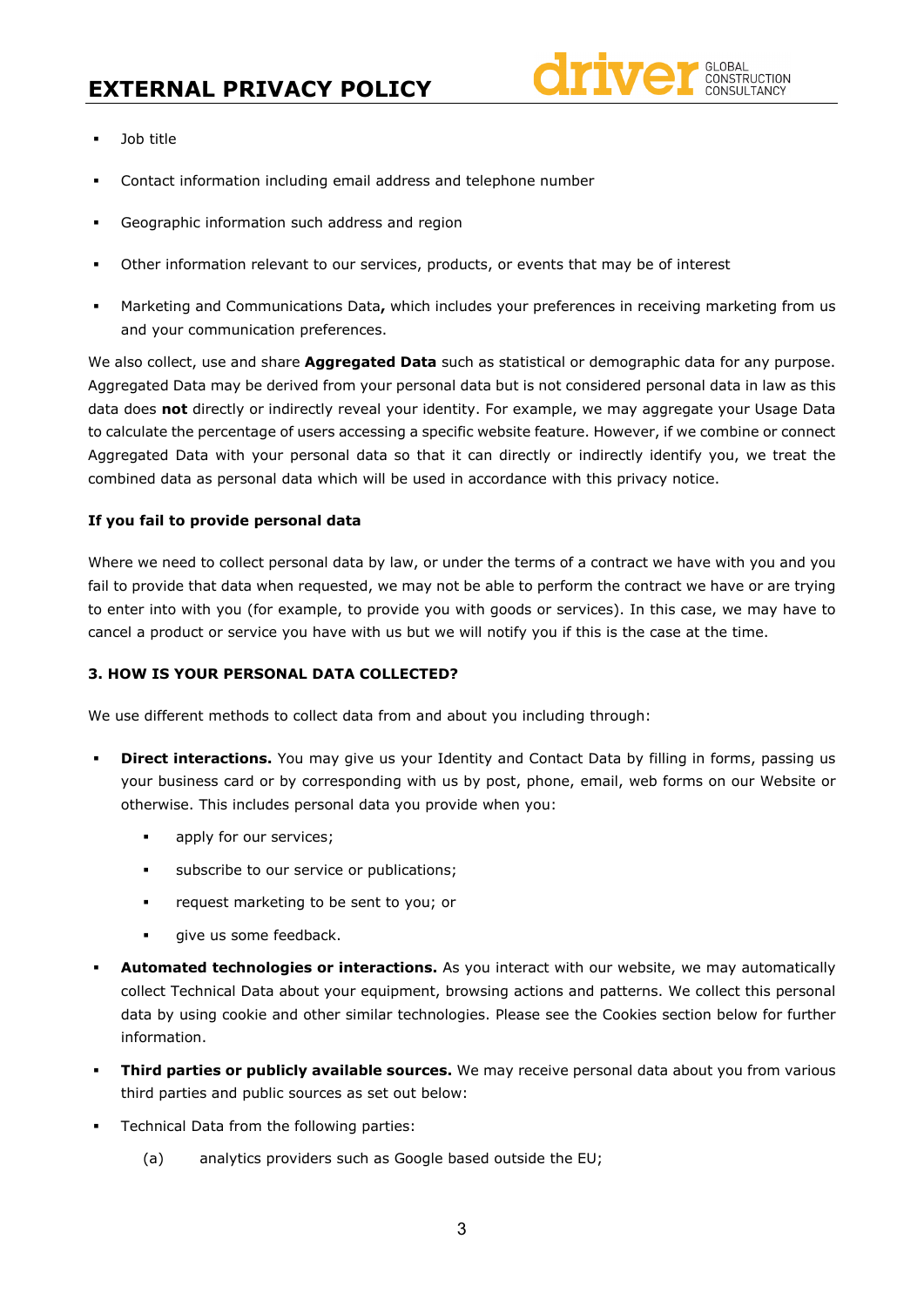

- Job title
- Contact information including email address and telephone number
- Geographic information such address and region
- Other information relevant to our services, products, or events that may be of interest
- Marketing and Communications Data**,** which includes your preferences in receiving marketing from us and your communication preferences.

We also collect, use and share **Aggregated Data** such as statistical or demographic data for any purpose. Aggregated Data may be derived from your personal data but is not considered personal data in law as this data does **not** directly or indirectly reveal your identity. For example, we may aggregate your Usage Data to calculate the percentage of users accessing a specific website feature. However, if we combine or connect Aggregated Data with your personal data so that it can directly or indirectly identify you, we treat the combined data as personal data which will be used in accordance with this privacy notice.

#### **If you fail to provide personal data**

Where we need to collect personal data by law, or under the terms of a contract we have with you and you fail to provide that data when requested, we may not be able to perform the contract we have or are trying to enter into with you (for example, to provide you with goods or services). In this case, we may have to cancel a product or service you have with us but we will notify you if this is the case at the time.

#### <span id="page-3-0"></span>**3. HOW IS YOUR PERSONAL DATA COLLECTED?**

We use different methods to collect data from and about you including through:

- **Direct interactions.** You may give us your Identity and Contact Data by filling in forms, passing us your business card or by corresponding with us by post, phone, email, web forms on our Website or otherwise. This includes personal data you provide when you:
	- apply for our services;
	- subscribe to our service or publications;
	- request marketing to be sent to you; or
	- give us some feedback.
- **Automated technologies or interactions.** As you interact with our website, we may automatically collect Technical Data about your equipment, browsing actions and patterns. We collect this personal data by using cookie and other similar technologies. Please see the Cookies section below for further information.
- **Third parties or publicly available sources.** We may receive personal data about you from various third parties and public sources as set out below:
- Technical Data from the following parties:
	- (a) analytics providers such as Google based outside the EU;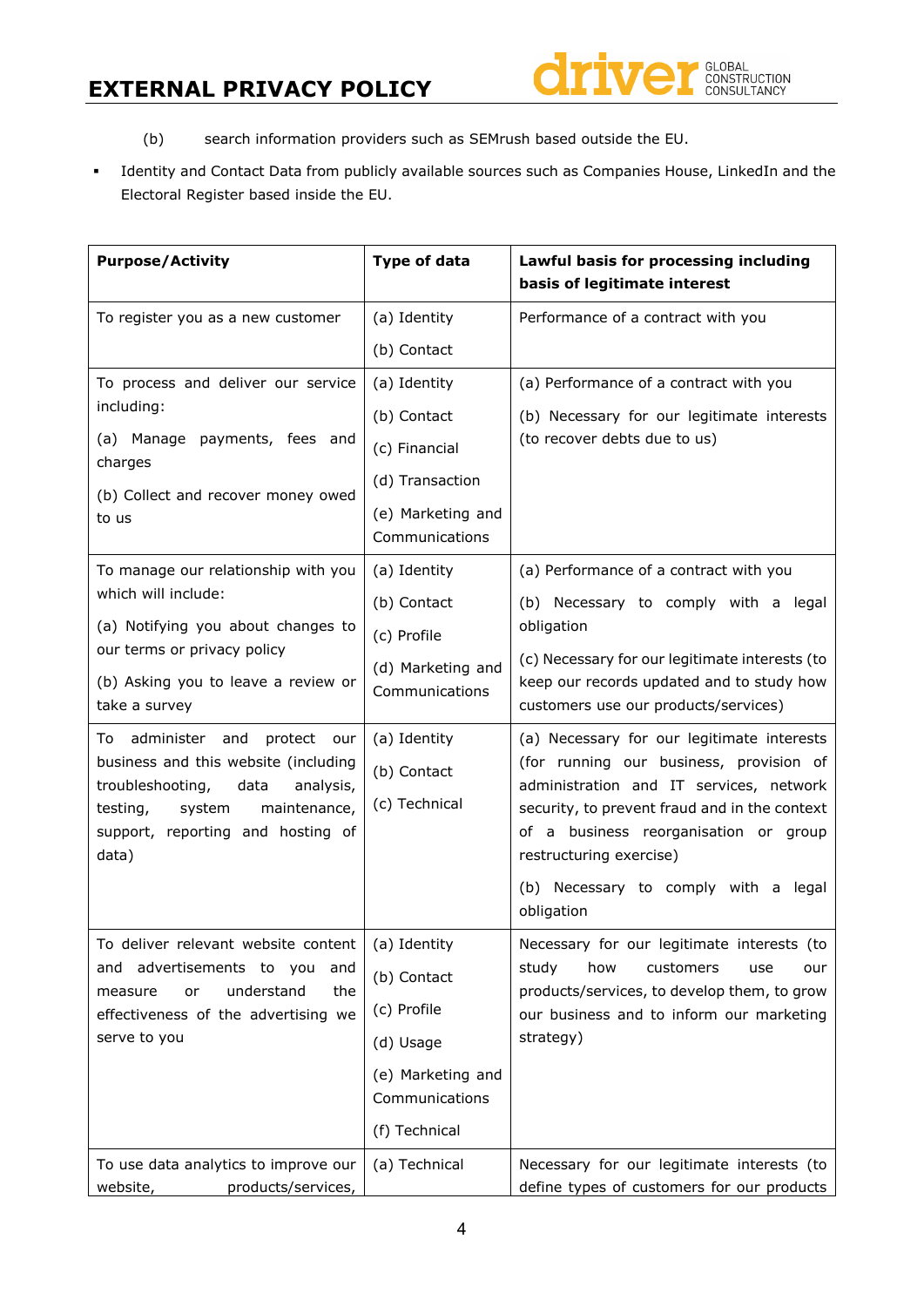- (b) search information providers such as SEMrush based outside the EU.
- Identity and Contact Data from publicly available sources such as Companies House, LinkedIn and the Electoral Register based inside the EU.

| <b>Purpose/Activity</b>                                                                                                                                                                               | <b>Type of data</b>                          | Lawful basis for processing including<br>basis of legitimate interest                                                                                                                                                                                                                                       |
|-------------------------------------------------------------------------------------------------------------------------------------------------------------------------------------------------------|----------------------------------------------|-------------------------------------------------------------------------------------------------------------------------------------------------------------------------------------------------------------------------------------------------------------------------------------------------------------|
| To register you as a new customer                                                                                                                                                                     | (a) Identity                                 | Performance of a contract with you                                                                                                                                                                                                                                                                          |
|                                                                                                                                                                                                       | (b) Contact                                  |                                                                                                                                                                                                                                                                                                             |
| To process and deliver our service                                                                                                                                                                    | (a) Identity                                 | (a) Performance of a contract with you                                                                                                                                                                                                                                                                      |
| including:                                                                                                                                                                                            | (b) Contact                                  | (b) Necessary for our legitimate interests                                                                                                                                                                                                                                                                  |
| (a) Manage payments, fees and<br>charges                                                                                                                                                              | (c) Financial                                | (to recover debts due to us)                                                                                                                                                                                                                                                                                |
| (b) Collect and recover money owed<br>to us                                                                                                                                                           | (d) Transaction                              |                                                                                                                                                                                                                                                                                                             |
|                                                                                                                                                                                                       | (e) Marketing and<br>Communications          |                                                                                                                                                                                                                                                                                                             |
| To manage our relationship with you                                                                                                                                                                   | (a) Identity                                 | (a) Performance of a contract with you                                                                                                                                                                                                                                                                      |
| which will include:                                                                                                                                                                                   | (b) Contact                                  | (b) Necessary to comply with a legal                                                                                                                                                                                                                                                                        |
| (a) Notifying you about changes to<br>our terms or privacy policy<br>(b) Asking you to leave a review or<br>take a survey                                                                             | (c) Profile                                  | obligation                                                                                                                                                                                                                                                                                                  |
|                                                                                                                                                                                                       | (d) Marketing and<br>Communications          | (c) Necessary for our legitimate interests (to<br>keep our records updated and to study how<br>customers use our products/services)                                                                                                                                                                         |
| To administer and<br>protect our<br>business and this website (including<br>troubleshooting,<br>data<br>analysis,<br>testing,<br>maintenance,<br>system<br>support, reporting and hosting of<br>data) | (a) Identity<br>(b) Contact<br>(c) Technical | (a) Necessary for our legitimate interests<br>(for running our business, provision of<br>administration and IT services, network<br>security, to prevent fraud and in the context<br>of a business reorganisation or group<br>restructuring exercise)<br>(b) Necessary to comply with a legal<br>obligation |
| To deliver relevant website content                                                                                                                                                                   | (a) Identity                                 | Necessary for our legitimate interests (to                                                                                                                                                                                                                                                                  |
| advertisements to you<br>and<br>and                                                                                                                                                                   | (b) Contact                                  | study<br>how<br>customers<br>use<br>our                                                                                                                                                                                                                                                                     |
| understand<br>the<br>or<br>measure<br>effectiveness of the advertising we                                                                                                                             | (c) Profile                                  | products/services, to develop them, to grow<br>our business and to inform our marketing                                                                                                                                                                                                                     |
| serve to you                                                                                                                                                                                          | (d) Usage                                    | strategy)                                                                                                                                                                                                                                                                                                   |
|                                                                                                                                                                                                       | (e) Marketing and<br>Communications          |                                                                                                                                                                                                                                                                                                             |
|                                                                                                                                                                                                       | (f) Technical                                |                                                                                                                                                                                                                                                                                                             |
| To use data analytics to improve our<br>website,<br>products/services,                                                                                                                                | (a) Technical                                | Necessary for our legitimate interests (to<br>define types of customers for our products                                                                                                                                                                                                                    |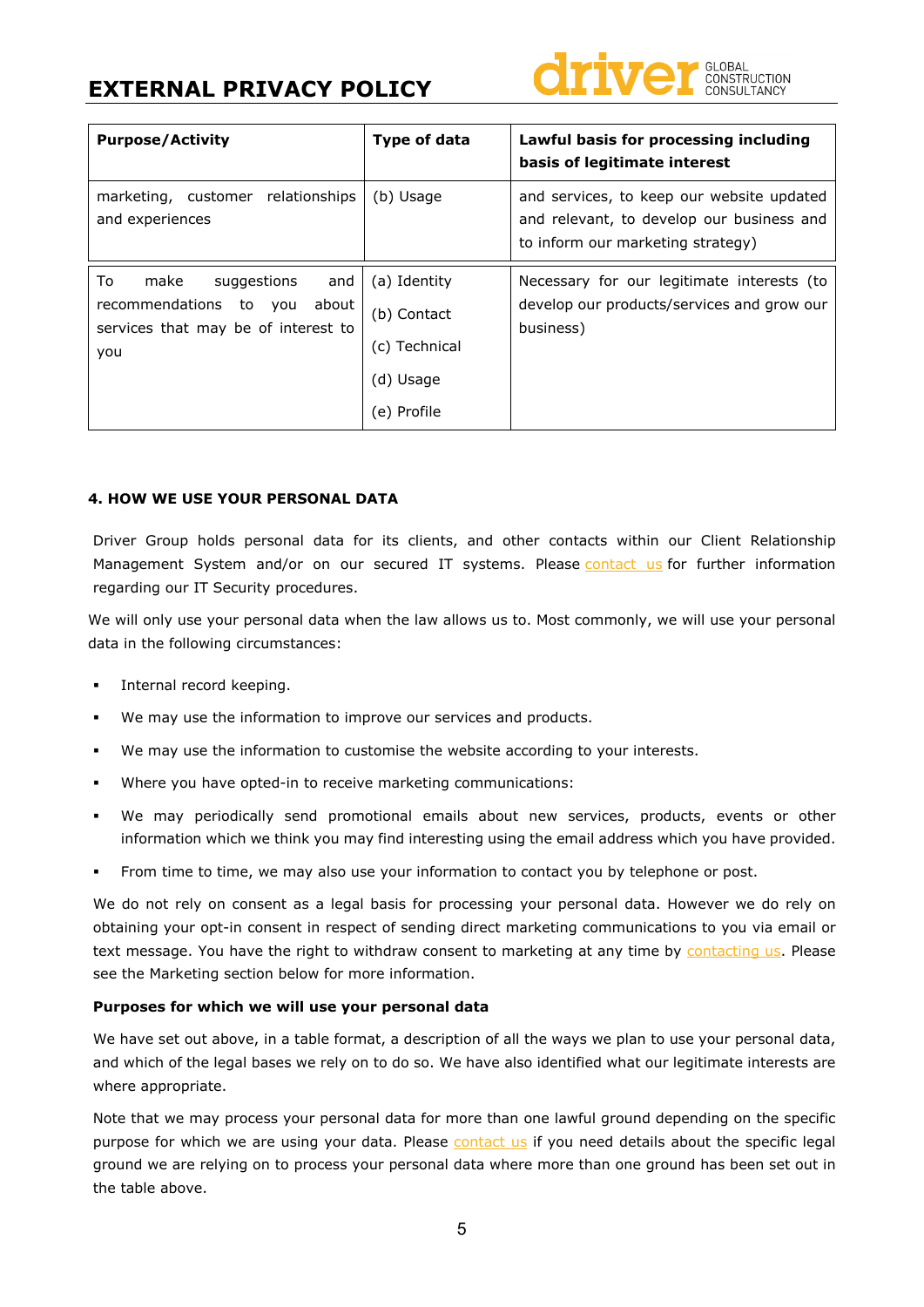

| <b>Purpose/Activity</b>                                                                                           | <b>Type of data</b>                                                      | Lawful basis for processing including<br>basis of legitimate interest                                                       |
|-------------------------------------------------------------------------------------------------------------------|--------------------------------------------------------------------------|-----------------------------------------------------------------------------------------------------------------------------|
| marketing, customer relationships<br>and experiences                                                              | (b) Usage                                                                | and services, to keep our website updated<br>and relevant, to develop our business and<br>to inform our marketing strategy) |
| To<br>make<br>suggestions<br>and<br>recommendations to you<br>about<br>services that may be of interest to<br>you | (a) Identity<br>(b) Contact<br>(c) Technical<br>(d) Usage<br>(e) Profile | Necessary for our legitimate interests (to<br>develop our products/services and grow our<br>business)                       |

#### <span id="page-5-0"></span>**4. HOW WE USE YOUR PERSONAL DATA**

Driver Group holds personal data for its clients, and other contacts within our Client Relationship Management System and/or on our secured IT systems. Please [contact us](mailto:dpo@driver-group.com) for further information regarding our IT Security procedures.

We will only use your personal data when the law allows us to. Most commonly, we will use your personal data in the following circumstances:

- Internal record keeping.
- We may use the information to improve our services and products.
- We may use the information to customise the website according to your interests.
- Where you have opted-in to receive marketing communications:
- We may periodically send promotional emails about new services, products, events or other information which we think you may find interesting using the email address which you have provided.
- From time to time, we may also use your information to contact you by telephone or post.

We do not rely on consent as a legal basis for processing your personal data. However we do rely on obtaining your opt-in consent in respect of sending direct marketing communications to you via email or text message. You have the right to withdraw consent to marketing at any time by [contacting us.](mailto:dpo@driver-group.com) Please see the Marketing section below for more information.

#### **Purposes for which we will use your personal data**

We have set out above, in a table format, a description of all the ways we plan to use your personal data, and which of the legal bases we rely on to do so. We have also identified what our legitimate interests are where appropriate.

Note that we may process your personal data for more than one lawful ground depending on the specific purpose for which we are using your data. Please [contact us](mailto:dpo@driver-group.com) if you need details about the specific legal ground we are relying on to process your personal data where more than one ground has been set out in the table above.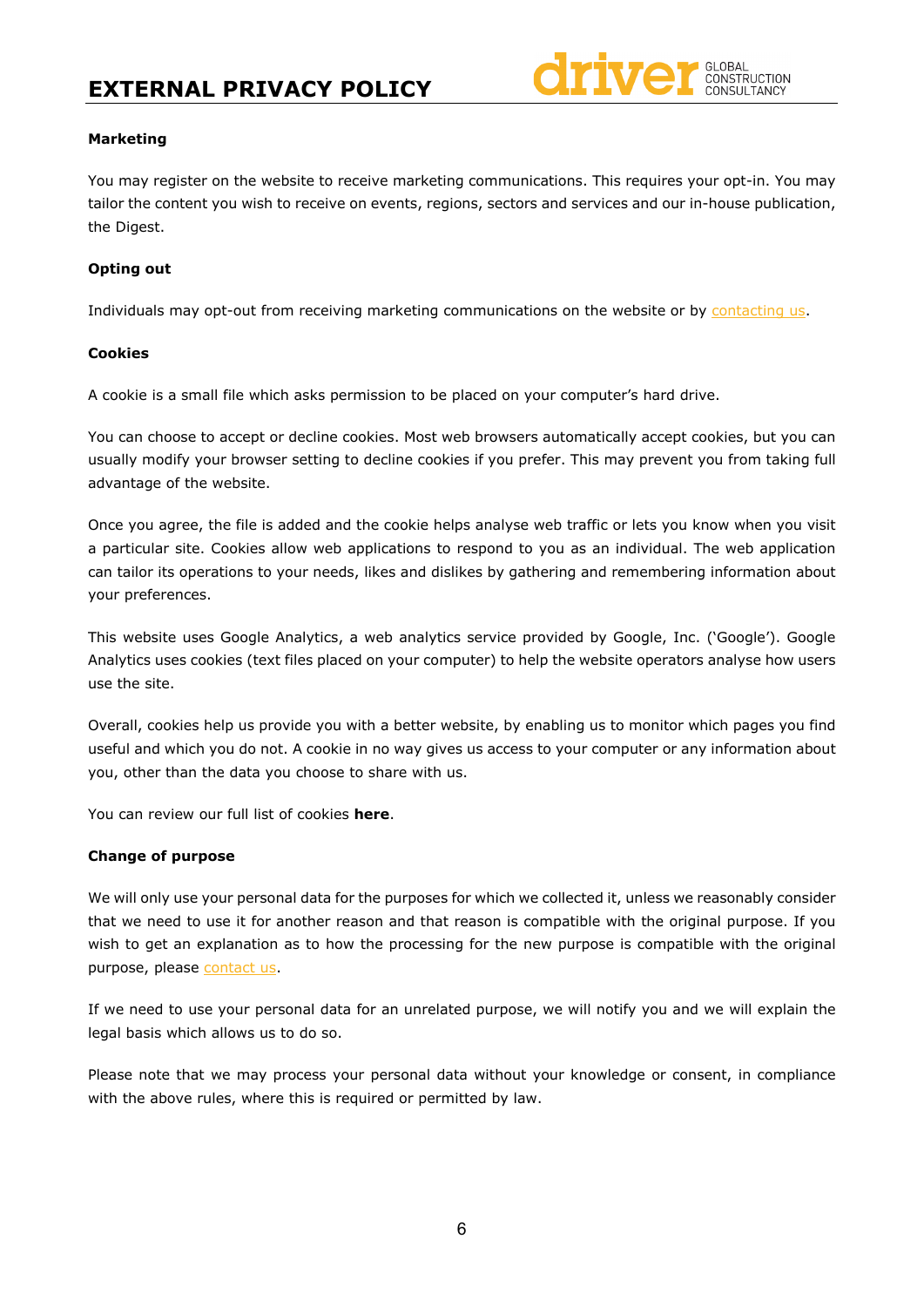## **Marketing**

You may register on the website to receive marketing communications. This requires your opt-in. You may tailor the content you wish to receive on events, regions, sectors and services and our in-house publication, the Digest.

## **Opting out**

Individuals may opt-out from receiving marketing communications on the website or by [contacting](mailto:dpo@driver-group.com) us.

#### **Cookies**

A cookie is a small file which asks permission to be placed on your computer's hard drive.

You can choose to accept or decline cookies. Most web browsers automatically accept cookies, but you can usually modify your browser setting to decline cookies if you prefer. This may prevent you from taking full advantage of the website.

Once you agree, the file is added and the cookie helps analyse web traffic or lets you know when you visit a particular site. Cookies allow web applications to respond to you as an individual. The web application can tailor its operations to your needs, likes and dislikes by gathering and remembering information about your preferences.

This website uses Google Analytics, a web analytics service provided by Google, Inc. ('Google'). Google Analytics uses cookies (text files placed on your computer) to help the website operators analyse how users use the site.

Overall, cookies help us provide you with a better website, by enabling us to monitor which pages you find useful and which you do not. A cookie in no way gives us access to your computer or any information about you, other than the data you choose to share with us.

You can review our full list of cookies **[here](https://www.driver-group.com/global/cookies/)**.

#### **Change of purpose**

We will only use your personal data for the purposes for which we collected it, unless we reasonably consider that we need to use it for another reason and that reason is compatible with the original purpose. If you wish to get an explanation as to how the processing for the new purpose is compatible with the original purpose, please [contact us.](mailto:dpo@driver-group.com)

If we need to use your personal data for an unrelated purpose, we will notify you and we will explain the legal basis which allows us to do so.

Please note that we may process your personal data without your knowledge or consent, in compliance with the above rules, where this is required or permitted by law.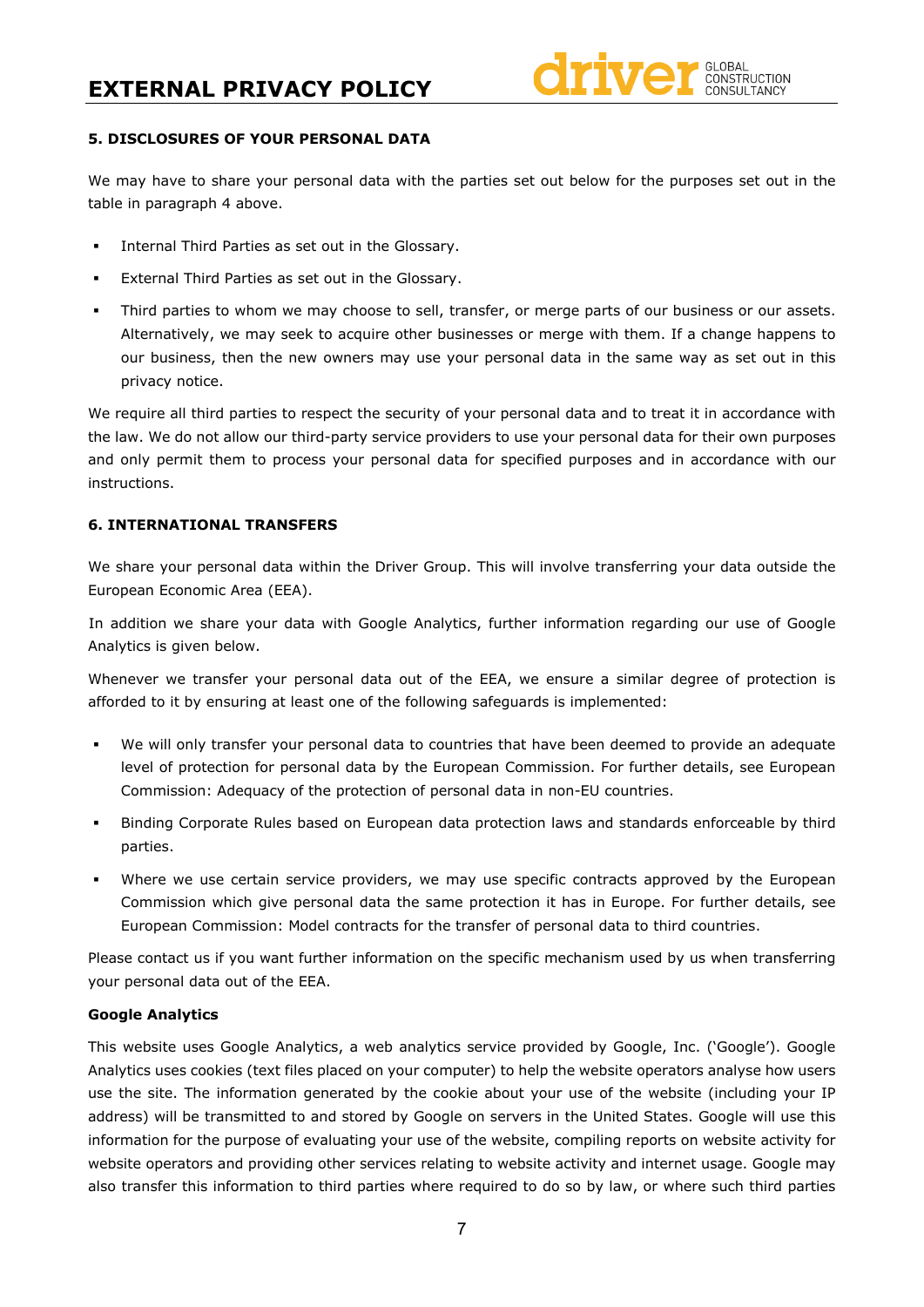

#### <span id="page-7-0"></span>**5. DISCLOSURES OF YOUR PERSONAL DATA**

We may have to share your personal data with the parties set out below for the purposes set out in the table in paragraph 4 above.

- **Internal Third Parties as set out in the Glossary.**
- External Third Parties as set out in the Glossary.
- Third parties to whom we may choose to sell, transfer, or merge parts of our business or our assets. Alternatively, we may seek to acquire other businesses or merge with them. If a change happens to our business, then the new owners may use your personal data in the same way as set out in this privacy notice.

We require all third parties to respect the security of your personal data and to treat it in accordance with the law. We do not allow our third-party service providers to use your personal data for their own purposes and only permit them to process your personal data for specified purposes and in accordance with our instructions.

#### <span id="page-7-1"></span>**6. INTERNATIONAL TRANSFERS**

We share your personal data within the Driver Group. This will involve transferring your data outside the European Economic Area (EEA).

In addition we share your data with Google Analytics, further information regarding our use of Google Analytics is given below.

Whenever we transfer your personal data out of the EEA, we ensure a similar degree of protection is afforded to it by ensuring at least one of the following safeguards is implemented:

- We will only transfer your personal data to countries that have been deemed to provide an adequate level of protection for personal data by the European Commission. For further details, see European Commission: Adequacy of the protection of personal data in non-EU countries.
- Binding Corporate Rules based on European data protection laws and standards enforceable by third parties.
- Where we use certain service providers, we may use specific contracts approved by the European Commission which give personal data the same protection it has in Europe. For further details, see European Commission: Model contracts for the transfer of personal data to third countries.

Please [contact us](#page-2-1) if you want further information on the specific mechanism used by us when transferring your personal data out of the EEA.

#### **Google Analytics**

This website uses Google Analytics, a web analytics service provided by Google, Inc. ('Google'). Google Analytics uses cookies (text files placed on your computer) to help the website operators analyse how users use the site. The information generated by the cookie about your use of the website (including your IP address) will be transmitted to and stored by Google on servers in the United States. Google will use this information for the purpose of evaluating your use of the website, compiling reports on website activity for website operators and providing other services relating to website activity and internet usage. Google may also transfer this information to third parties where required to do so by law, or where such third parties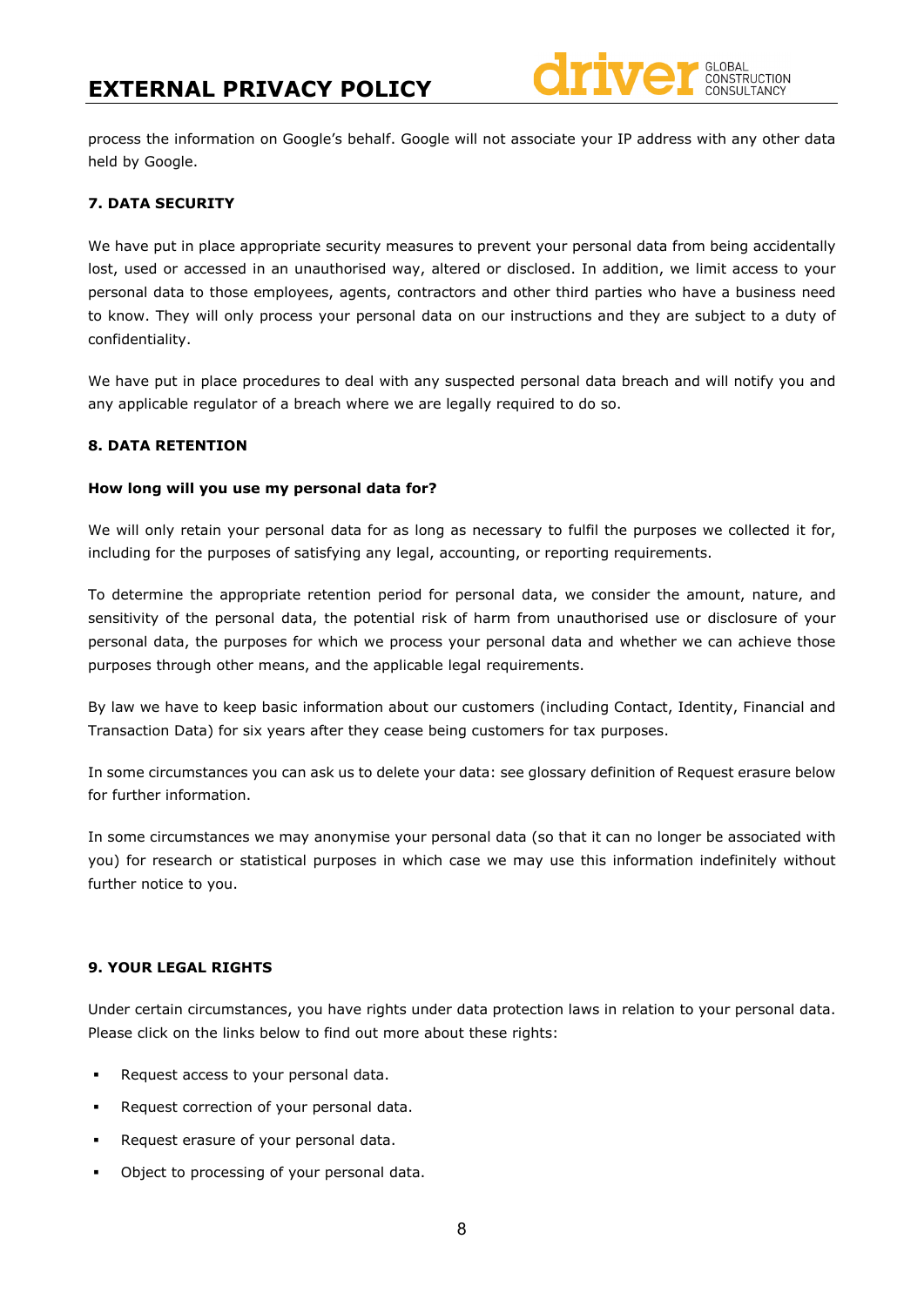

process the information on Google's behalf. Google will not associate your IP address with any other data held by Google.

### <span id="page-8-0"></span>**7. DATA SECURITY**

We have put in place appropriate security measures to prevent your personal data from being accidentally lost, used or accessed in an unauthorised way, altered or disclosed. In addition, we limit access to your personal data to those employees, agents, contractors and other third parties who have a business need to know. They will only process your personal data on our instructions and they are subject to a duty of confidentiality.

We have put in place procedures to deal with any suspected personal data breach and will notify you and any applicable regulator of a breach where we are legally required to do so.

#### <span id="page-8-1"></span>**8. DATA RETENTION**

#### **How long will you use my personal data for?**

We will only retain your personal data for as long as necessary to fulfil the purposes we collected it for, including for the purposes of satisfying any legal, accounting, or reporting requirements.

To determine the appropriate retention period for personal data, we consider the amount, nature, and sensitivity of the personal data, the potential risk of harm from unauthorised use or disclosure of your personal data, the purposes for which we process your personal data and whether we can achieve those purposes through other means, and the applicable legal requirements.

By law we have to keep basic information about our customers (including Contact, Identity, Financial and Transaction Data) for six years after they cease being customers for tax purposes.

In some circumstances you can ask us to delete your data: see glossary definition of Request erasure below for further information.

In some circumstances we may anonymise your personal data (so that it can no longer be associated with you) for research or statistical purposes in which case we may use this information indefinitely without further notice to you.

#### <span id="page-8-2"></span>**9. YOUR LEGAL RIGHTS**

Under certain circumstances, you have rights under data protection laws in relation to your personal data. Please click on the links below to find out more about these rights:

- Request access to your personal data.
- Request correction of your personal data.
- Request erasure of your personal data.
- Object to processing of your personal data.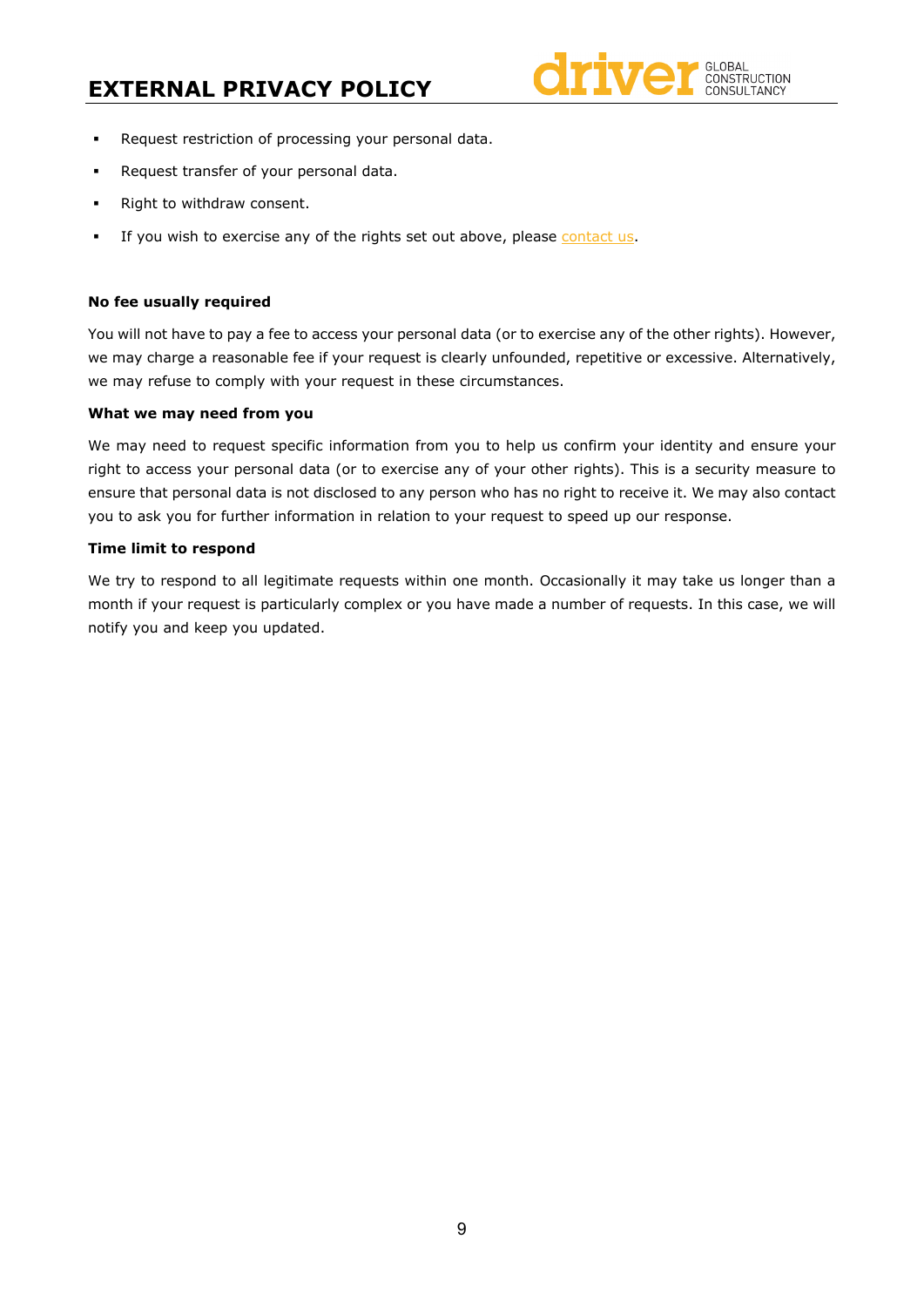

- Request restriction of processing your personal data.
- Request transfer of your personal data.
- Right to withdraw consent.
- If you wish to exercise any of the rights set out above, please [contact us.](mailto:dpo@driver-group.com)

#### **No fee usually required**

You will not have to pay a fee to access your personal data (or to exercise any of the other rights). However, we may charge a reasonable fee if your request is clearly unfounded, repetitive or excessive. Alternatively, we may refuse to comply with your request in these circumstances.

#### **What we may need from you**

We may need to request specific information from you to help us confirm your identity and ensure your right to access your personal data (or to exercise any of your other rights). This is a security measure to ensure that personal data is not disclosed to any person who has no right to receive it. We may also contact you to ask you for further information in relation to your request to speed up our response.

#### **Time limit to respond**

We try to respond to all legitimate requests within one month. Occasionally it may take us longer than a month if your request is particularly complex or you have made a number of requests. In this case, we will notify you and keep you updated.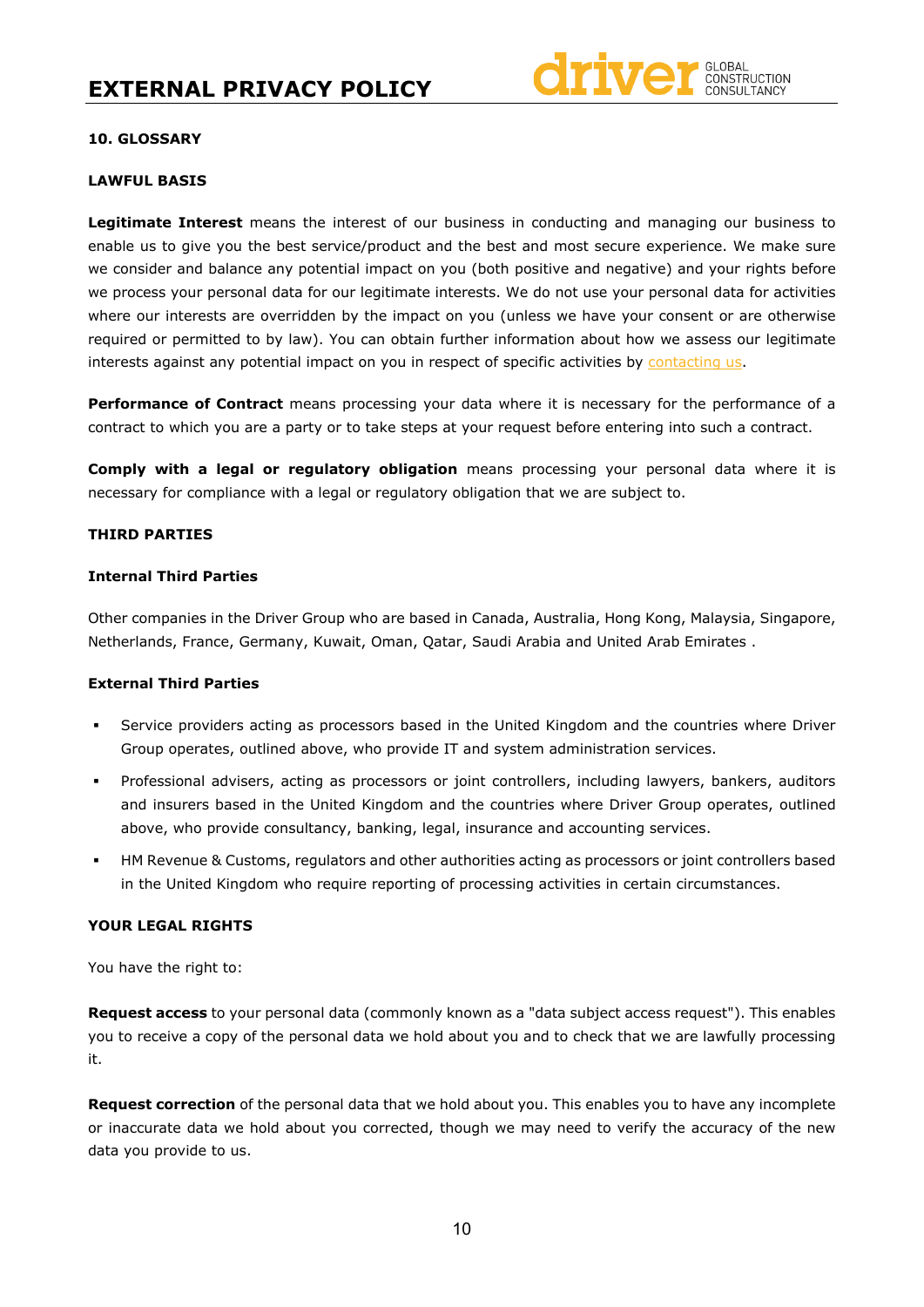

### <span id="page-10-0"></span>**10. GLOSSARY**

#### **LAWFUL BASIS**

**Legitimate Interest** means the interest of our business in conducting and managing our business to enable us to give you the best service/product and the best and most secure experience. We make sure we consider and balance any potential impact on you (both positive and negative) and your rights before we process your personal data for our legitimate interests. We do not use your personal data for activities where our interests are overridden by the impact on you (unless we have your consent or are otherwise required or permitted to by law). You can obtain further information about how we assess our legitimate interests against any potential impact on you in respect of specific activities by [contacting](mailto:dpo@driver-group.com) us.

**Performance of Contract** means processing your data where it is necessary for the performance of a contract to which you are a party or to take steps at your request before entering into such a contract.

**Comply with a legal or regulatory obligation** means processing your personal data where it is necessary for compliance with a legal or regulatory obligation that we are subject to.

## **THIRD PARTIES**

#### **Internal Third Parties**

Other companies in the Driver Group who are based in Canada, Australia, Hong Kong, Malaysia, Singapore, Netherlands, France, Germany, Kuwait, Oman, Qatar, Saudi Arabia and United Arab Emirates .

#### **External Third Parties**

- Service providers acting as processors based in the United Kingdom and the countries where Driver Group operates, outlined above, who provide IT and system administration services.
- Professional advisers, acting as processors or joint controllers, including lawyers, bankers, auditors and insurers based in the United Kingdom and the countries where Driver Group operates, outlined above, who provide consultancy, banking, legal, insurance and accounting services.
- HM Revenue & Customs, regulators and other authorities acting as processors or joint controllers based in the United Kingdom who require reporting of processing activities in certain circumstances.

### **YOUR LEGAL RIGHTS**

You have the right to:

**Request access** to your personal data (commonly known as a "data subject access request"). This enables you to receive a copy of the personal data we hold about you and to check that we are lawfully processing it.

**Request correction** of the personal data that we hold about you. This enables you to have any incomplete or inaccurate data we hold about you corrected, though we may need to verify the accuracy of the new data you provide to us.